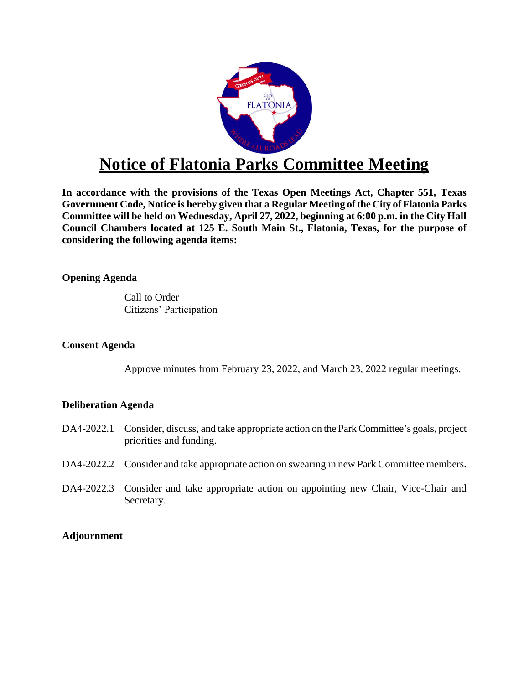

# **Notice of Flatonia Parks Committee Meeting**

**In accordance with the provisions of the Texas Open Meetings Act, Chapter 551, Texas Government Code, Notice is hereby given that a Regular Meeting of the City of Flatonia Parks Committee will be held on Wednesday, April 27, 2022, beginning at 6:00 p.m. in the City Hall Council Chambers located at 125 E. South Main St., Flatonia, Texas, for the purpose of considering the following agenda items:**

**Opening Agenda** 

Call to Order Citizens' Participation

### **Consent Agenda**

Approve minutes from February 23, 2022, and March 23, 2022 regular meetings.

## **Deliberation Agenda**

- DA4-2022.1 Consider, discuss, and take appropriate action on the Park Committee's goals, project priorities and funding.
- DA4-2022.2 Consider and take appropriate action on swearing in new Park Committee members.
- DA4-2022.3 Consider and take appropriate action on appointing new Chair, Vice-Chair and Secretary.

## **Adjournment**